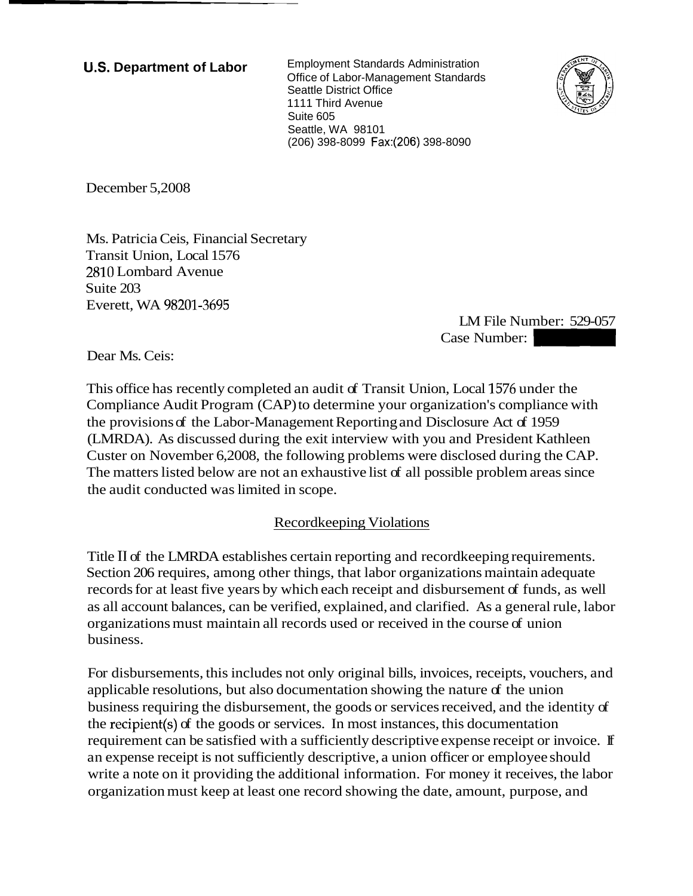**U.S. Department of Labor** Employment Standards Administration Office of Labor-Management Standards Seattle District Office 1111 Third Avenue Suite 605 Seattle, WA 98101 (206) 398-8099 Fax:(206) 398-8090



December 5,2008

Ms. Patricia Ceis, Financial Secretary Transit Union, Local 1576 2810 Lombard Avenue Suite 203 Everett, WA 98201-3695

LM File Number: 529-057 EXECTS -8090<br>
LM File Number: 529-057<br>
Case Number:<br>
n, Local 1576 under the

Dear Ms. Ceis:

This office has recently completed an audit of Transit Union, Local 1576 under the Compliance Audit Program (CAP) to determine your organization's compliance with the provisions of the Labor-Management Reporting and Disclosure Act of 1959 (LMRDA). As discussed during the exit interview with you and President Kathleen Custer on November 6,2008, the following problems were disclosed during the CAP. The matters listed below are not an exhaustive list of all possible problem areas since the audit conducted was limited in scope.

## Recordkeeping Violations

Title I1 of the LMRDA establishes certain reporting and recordkeeping requirements. Section 206 requires, among other things, that labor organizations maintain adequate records for at least five years by which each receipt and disbursement of funds, as well as all account balances, can be verified, explained, and clarified. As a general rule, labor organizations must maintain all records used or received in the course of union business.

For disbursements, this includes not only original bills, invoices, receipts, vouchers, and applicable resolutions, but also documentation showing the nature  $f$  the union business requiring the disbursement, the goods or services received, and the identity of the recipient(s) of the goods or services. In most instances, this documentation requirement can be satisfied with a sufficiently descriptive expense receipt or invoice. If an expense receipt is not sufficiently descriptive, a union officer or employee should write a note on it providing the additional information. For money it receives, the labor organization must keep at least one record showing the date, amount, purpose, and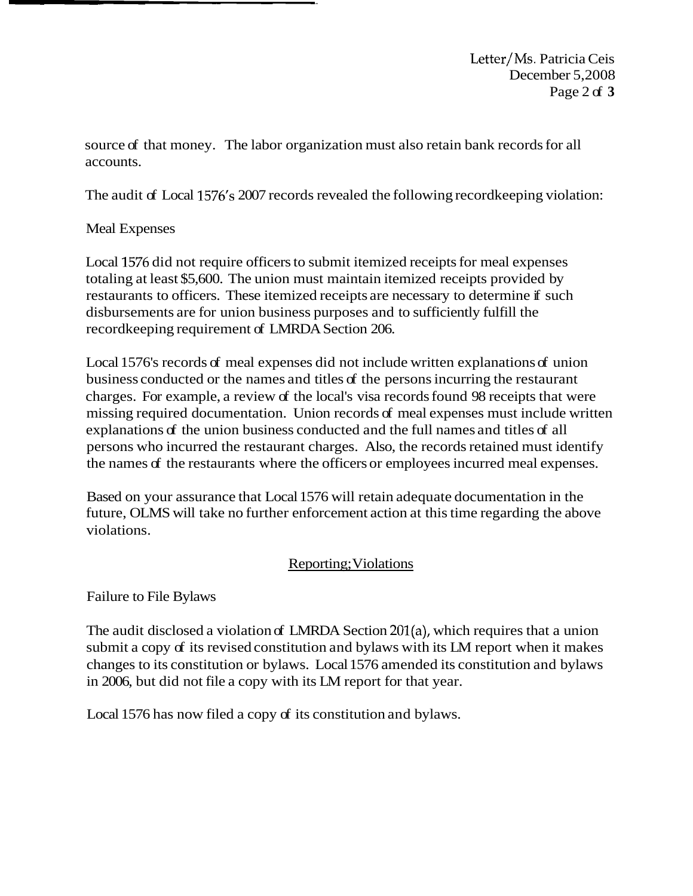Letter/Ms. Patricia Ceis December 5,2008 Page 2 of **3** 

source of that money. The labor organization must also retain bank records for all accounts.

The audit of Local 1576's 2007 records revealed the following record keeping violation:

## Meal Expenses

Local 1576 did not require officers to submit itemized receipts for meal expenses totaling at least \$5,600. The union must maintain itemized receipts provided by restaurants to officers. These itemized receipts are necessary to determine if such disbursements are for union business purposes and to sufficiently fulfill the recordkeeping requirement of LMRDA Section 206.

Local 1576's records of meal expenses did not include written explanations of union business conducted or the names and titles of the persons incurring the restaurant charges. For example, a review of the local's visa records found 98 receipts that were missing required documentation. Union records of meal expenses must include written explanations of the union business conducted and the full names and titles of all persons who incurred the restaurant charges. Also, the records retained must identify the names of the restaurants where the officers or employees incurred meal expenses.

Based on your assurance that Local 1576 will retain adequate documentation in the future, OLMS will take no further enforcement action at this time regarding the above violations.

## Reporting; Violations

Failure to File Bylaws

The audit disclosed a violation of LMRDA Section 201(a), which requires that a union submit a copy of its revised constitution and bylaws with its LM report when it makes changes to its constitution or bylaws. Local 1576 amended its constitution and bylaws in 2006, but did not file a copy with its LM report for that year.

Local 1576 has now filed a copy of its constitution and bylaws.